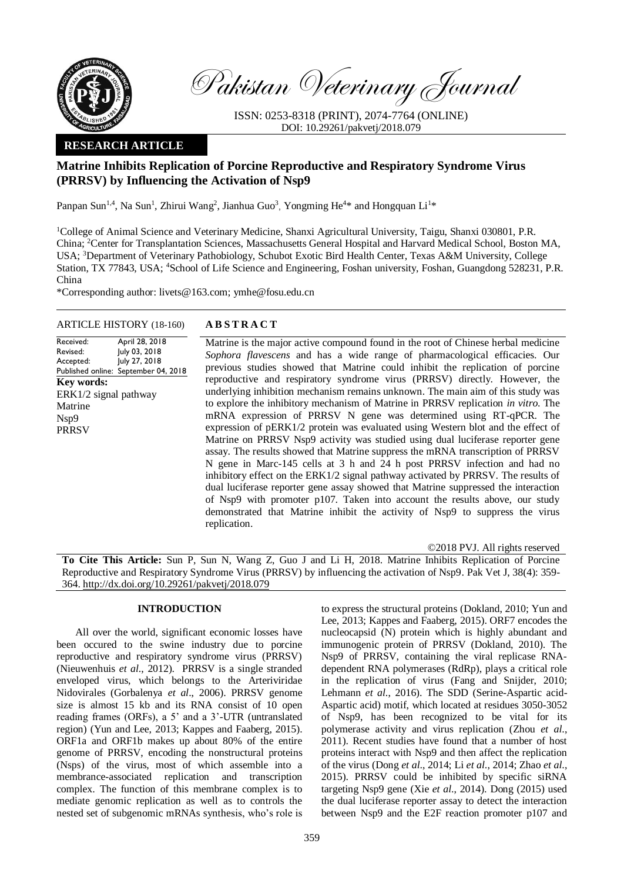

Pakistan Veterinary Journal

ISSN: 0253-8318 (PRINT), 2074-7764 (ONLINE) DOI: 10.29261/pakvetj/2018.079

## **RESEARCH ARTICLE**

# **Matrine Inhibits Replication of Porcine Reproductive and Respiratory Syndrome Virus (PRRSV) by Influencing the Activation of Nsp9**

Panpan Sun<sup>1,4</sup>, Na Sun<sup>1</sup>, Zhirui Wang<sup>2</sup>, Jianhua Guo<sup>3</sup>, Yongming He<sup>4\*</sup> and Hongquan Li<sup>1\*</sup>

<sup>1</sup>College of Animal Science and Veterinary Medicine, Shanxi Agricultural University, Taigu, Shanxi 030801, P.R. China; <sup>2</sup>Center for Transplantation Sciences, Massachusetts General Hospital and Harvard Medical School, Boston MA, USA; <sup>3</sup>Department of Veterinary Pathobiology, Schubot Exotic Bird Health Center, Texas A&M University, College Station, TX 77843, USA; <sup>4</sup>School of Life Science and Engineering, Foshan university, Foshan, Guangdong 528231, P.R. China

\*Corresponding author: livets@163.com; ymhe@fosu.edu.cn

## ARTICLE HISTORY (18-160) **A B S T R A C T**

Received: Revised: Accepted: Published online: September 04, 2018 April 28, 2018 July 03, 2018 July 27, 2018 **Key words:**  ERK1/2 signal pathway Matrine Nsp9 **PRRSV** 

Matrine is the major active compound found in the root of Chinese herbal medicine *Sophora flavescens* and has a wide range of pharmacological efficacies. Our previous studies showed that Matrine could inhibit the replication of porcine reproductive and respiratory syndrome virus (PRRSV) directly. However, the underlying inhibition mechanism remains unknown. The main aim of this study was to explore the inhibitory mechanism of Matrine in PRRSV replication *in vitro*. The mRNA expression of PRRSV N gene was determined using RT-qPCR. The expression of pERK1/2 protein was evaluated using Western blot and the effect of Matrine on PRRSV Nsp9 activity was studied using dual luciferase reporter gene assay. The results showed that Matrine suppress the mRNA transcription of PRRSV N gene in Marc-145 cells at 3 h and 24 h post PRRSV infection and had no inhibitory effect on the ERK1/2 signal pathway activated by PRRSV. The results of dual luciferase reporter gene assay showed that Matrine suppressed the interaction of Nsp9 with promoter p107. Taken into account the results above, our study demonstrated that Matrine inhibit the activity of Nsp9 to suppress the virus replication.

©2018 PVJ. All rights reserved

**To Cite This Article:** Sun P, Sun N, Wang Z, Guo J and Li H, 2018. Matrine Inhibits Replication of Porcine Reproductive and Respiratory Syndrome Virus (PRRSV) by influencing the activation of Nsp9. Pak Vet J, 38(4): 359- 364. [http://dx.doi.org/10.29261/pakvetj/2018.079](http://pvj.com.pk/pdf-files/38_4/359-364.pdf) 

## **INTRODUCTION**

All over the world, significant economic losses have been occured to the swine industry due to porcine reproductive and respiratory syndrome virus (PRRSV) (Nieuwenhuis *et al*., 2012). PRRSV is a single stranded enveloped virus, which belongs to the Arteriviridae Nidovirales (Gorbalenya *et al*., 2006). PRRSV genome size is almost 15 kb and its RNA consist of 10 open reading frames (ORFs), a 5' and a 3'-UTR (untranslated region) (Yun and Lee, 2013; Kappes and Faaberg, 2015). ORF1a and ORF1b makes up about 80% of the entire genome of PRRSV, encoding the nonstructural proteins (Nsps) of the virus, most of which assemble into a membrance-associated replication and transcription complex. The function of this membrane complex is to mediate genomic replication as well as to controls the nested set of subgenomic mRNAs synthesis, who's role is

to express the structural proteins (Dokland, 2010; Yun and Lee, 2013; Kappes and Faaberg, 2015). ORF7 encodes the nucleocapsid (N) protein which is highly abundant and immunogenic protein of PRRSV (Dokland, 2010). The Nsp9 of PRRSV, containing the viral replicase RNAdependent RNA polymerases (RdRp), plays a critical role in the replication of virus (Fang and Snijder, 2010; Lehmann *et al*., 2016). The SDD (Serine-Aspartic acid-Aspartic acid) motif, which located at residues 3050-3052 of Nsp9, has been recognized to be vital for its polymerase activity and virus replication (Zhou *et al*., 2011). Recent studies have found that a number of host proteins interact with Nsp9 and then affect the replication of the virus (Dong *et al*., 2014; Li *et al*., 2014; Zhao *et al*., 2015). PRRSV could be inhibited by specific siRNA targeting Nsp9 gene (Xie *et al*., 2014). Dong (2015) used the dual luciferase reporter assay to detect the interaction between Nsp9 and the E2F reaction promoter p107 and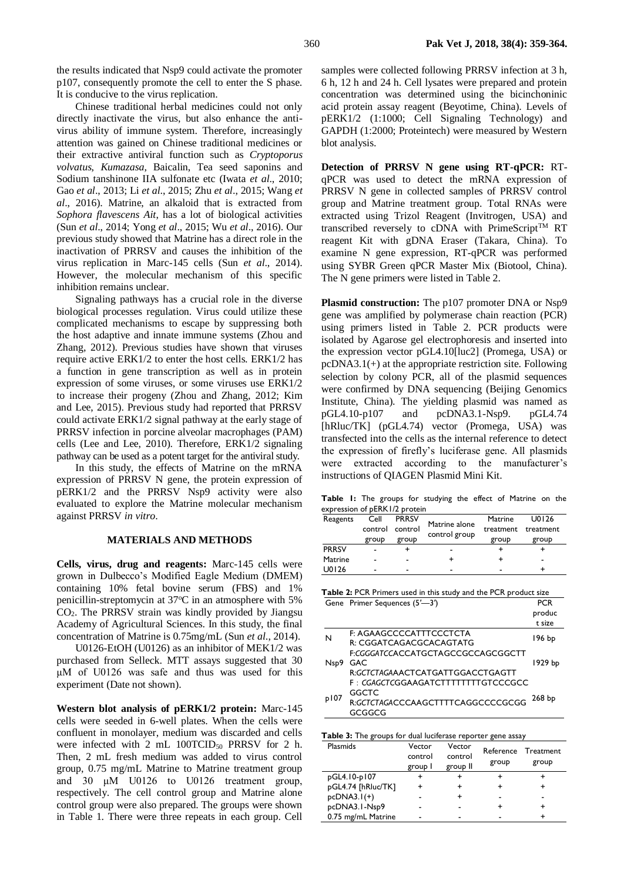the results indicated that Nsp9 could activate the promoter p107, consequently promote the cell to enter the S phase. It is conducive to the virus replication.

Chinese traditional herbal medicines could not only directly inactivate the virus, but also enhance the antivirus ability of immune system. Therefore, increasingly attention was gained on Chinese traditional medicines or their extractive antiviral function such as *Cryptoporus volvatus*, *Kumazasa*, Baicalin, Tea seed saponins and Sodium tanshinone IIA sulfonate etc (Iwata *et al.*, 2010; Gao *et al*., 2013; Li *et al*., 2015; Zhu *et al*., 2015; Wang *et al*., 2016). Matrine, an alkaloid that is extracted from *Sophora flavescens Ait*, has a lot of biological activities (Sun *et al*., 2014; Yong *et al*., 2015; Wu *et al*., 2016). Our previous study showed that Matrine has a direct role in the inactivation of PRRSV and causes the inhibition of the virus replication in Marc-145 cells (Sun *et al*., 2014). However, the molecular mechanism of this specific inhibition remains unclear.

Signaling pathways has a crucial role in the diverse biological processes regulation. Virus could utilize these complicated mechanisms to escape by suppressing both the host adaptive and innate immune systems (Zhou and Zhang, 2012). Previous studies have shown that viruses require active ERK1/2 to enter the host cells. ERK1/2 has a function in gene transcription as well as in protein expression of some viruses, or some viruses use ERK1/2 to increase their progeny (Zhou and Zhang, 2012; Kim and Lee, 2015). Previous study had reported that PRRSV could activate ERK1/2 signal pathway at the early stage of PRRSV infection in porcine alveolar macrophages (PAM) cells (Lee and Lee, 2010). Therefore, ERK1/2 signaling pathway can be used as a potent target for the antiviral study.

In this study, the effects of Matrine on the mRNA expression of PRRSV N gene, the protein expression of pERK1/2 and the PRRSV Nsp9 activity were also evaluated to explore the Matrine molecular mechanism against PRRSV *in vitro*.

## **MATERIALS AND METHODS**

**Cells, virus, drug and reagents:** Marc-145 cells were grown in Dulbecco's Modified Eagle Medium (DMEM) containing 10% fetal bovine serum (FBS) and 1% penicillin-streptomycin at 37°C in an atmosphere with 5% CO2. The PRRSV strain was kindly provided by Jiangsu Academy of Agricultural Sciences. In this study, the final concentration of Matrine is 0.75mg/mL (Sun *et al*., 2014).

U0126-EtOH (U0126) as an inhibitor of MEK1/2 was purchased from Selleck. MTT assays suggested that 30 μM of U0126 was safe and thus was used for this experiment (Date not shown).

**Western blot analysis of pERK1/2 protein:** Marc-145 cells were seeded in 6-well plates. When the cells were confluent in monolayer, medium was discarded and cells were infected with 2 mL  $100TCID_{50}$  PRRSV for 2 h. Then, 2 mL fresh medium was added to virus control group, 0.75 mg/mL Matrine to Matrine treatment group and 30 μM U0126 to U0126 treatment group, respectively. The cell control group and Matrine alone control group were also prepared. The groups were shown in Table 1. There were three repeats in each group. Cell samples were collected following PRRSV infection at 3 h, 6 h, 12 h and 24 h. Cell lysates were prepared and protein concentration was determined using the bicinchoninic acid protein assay reagent (Beyotime, China). Levels of pERK1/2 (1:1000; Cell Signaling Technology) and GAPDH (1:2000; Proteintech) were measured by Western blot analysis.

**Detection of PRRSV N gene using RT-qPCR:** RTqPCR was used to detect the mRNA expression of PRRSV N gene in collected samples of PRRSV control group and Matrine treatment group. Total RNAs were extracted using Trizol Reagent (Invitrogen, USA) and transcribed reversely to cDNA with  $PrimeScript^{\text{TM}}$  RT reagent Kit with gDNA Eraser (Takara, China). To examine N gene expression, RT-qPCR was performed using SYBR Green qPCR Master Mix (Biotool, China). The N gene primers were listed in Table 2.

**Plasmid construction:** The p107 promoter DNA or Nsp9 gene was amplified by polymerase chain reaction (PCR) using primers listed in Table 2. PCR products were isolated by Agarose gel electrophoresis and inserted into the expression vector pGL4.10[luc2] (Promega, USA) or pcDNA3.1(+) at the appropriate restriction site. Following selection by colony PCR, all of the plasmid sequences were confirmed by DNA sequencing (Beijing Genomics Institute, China). The yielding plasmid was named as pGL4.10-p107 and pcDNA3.1-Nsp9. pGL4.74 [hRluc/TK] (pGL4.74) vector (Promega, USA) was transfected into the cells as the internal reference to detect the expression of firefly's luciferase gene. All plasmids were extracted according to the manufacturer's instructions of QIAGEN Plasmid Mini Kit.

**Table 1:** The groups for studying the effect of Matrine on the expression of pERK1/2 protein

| Reagents     | Cell           | <b>PRRSV</b> | Matrine alone | Matrine   | U0126     |
|--------------|----------------|--------------|---------------|-----------|-----------|
|              | control        | control      | control group | treatment | treatment |
|              | group          | group        |               | group     | group     |
| <b>PRRSV</b> | -              |              | -             |           |           |
| Matrine      | $\blacksquare$ | -            |               |           | -         |
| U0126        | $\blacksquare$ | -            | -             |           |           |

|      | Gene Primer Sequences (5'-3')                                                              | <b>PCR</b><br>produc<br>t size |
|------|--------------------------------------------------------------------------------------------|--------------------------------|
| N    | F: AGAAGCCCCATTTCCCTCTA<br>R: CGGATCAGACGCACAGTATG                                         | 196 bp                         |
| Nsp9 | ECGGGATCCACCATGCTAGCCGCCAGCGGCTT<br><b>GAC</b><br>R:GCTCTAGAAACTCATGATTGGACCTGAGTT         | 1929 bo                        |
| p107 | F: CGAGCTCGGAAGATCTTTTTTTTGTCCCGCC<br>GGCTC<br>R:GCTCTAGACCCAAGCTTTTCAGGCCCCGCGG<br>GCGGCG | 268 bp                         |

|  |  | Table 3: The groups for dual luciferase reporter gene assay |  |
|--|--|-------------------------------------------------------------|--|
|  |  |                                                             |  |

| Plasmids           | Vector<br>control<br>group I | Vector<br>control<br>group II | group | Reference Treatment<br>group |
|--------------------|------------------------------|-------------------------------|-------|------------------------------|
| pGL4.10-p107       |                              |                               |       |                              |
| pGL4.74 [hRluc/TK] |                              |                               | ٠     |                              |
| $pcDNA3.1(+)$      |                              |                               |       |                              |
| pcDNA3.1-Nsp9      |                              |                               | ٠     |                              |
| 0.75 mg/mL Matrine |                              |                               |       |                              |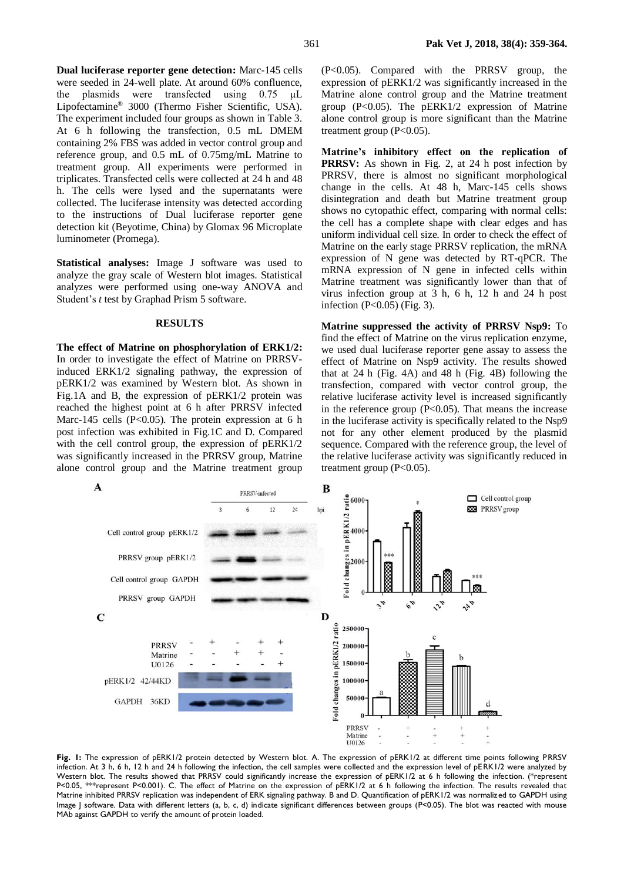**Dual luciferase reporter gene detection:** Marc-145 cells were seeded in 24-well plate. At around 60% confluence, the plasmids were transfected using 0.75 μL Lipofectamine® 3000 (Thermo Fisher Scientific, USA). The experiment included four groups as shown in Table 3. At 6 h following the transfection, 0.5 mL DMEM containing 2% FBS was added in vector control group and reference group, and 0.5 mL of 0.75mg/mL Matrine to treatment group. All experiments were performed in triplicates. Transfected cells were collected at 24 h and 48 h. The cells were lysed and the supernatants were collected. The luciferase intensity was detected according to the instructions of Dual luciferase reporter gene detection kit (Beyotime, China) by Glomax 96 Microplate luminometer (Promega).

**Statistical analyses:** Image J software was used to analyze the gray scale of Western blot images. Statistical analyzes were performed using one-way ANOVA and Student's *t* test by Graphad Prism 5 software.

#### **RESULTS**

**The effect of Matrine on phosphorylation of ERK1/2:**  In order to investigate the effect of Matrine on PRRSVinduced ERK1/2 signaling pathway, the expression of pERK1/2 was examined by Western blot. As shown in Fig.1A and B, the expression of pERK1/2 protein was reached the highest point at 6 h after PRRSV infected Marc-145 cells  $(P<0.05)$ . The protein expression at 6 h post infection was exhibited in Fig.1C and D. Compared with the cell control group, the expression of pERK1/2 was significantly increased in the PRRSV group, Matrine alone control group and the Matrine treatment group (P<0.05). Compared with the PRRSV group, the expression of pERK1/2 was significantly increased in the Matrine alone control group and the Matrine treatment group (P<0.05). The pERK1/2 expression of Matrine alone control group is more significant than the Matrine treatment group  $(P<0.05)$ .

**Matrine's inhibitory effect on the replication of PRRSV:** As shown in Fig. 2, at 24 h post infection by PRRSV, there is almost no significant morphological change in the cells. At 48 h, Marc-145 cells shows disintegration and death but Matrine treatment group shows no cytopathic effect, comparing with normal cells: the cell has a complete shape with clear edges and has uniform individual cell size. In order to check the effect of Matrine on the early stage PRRSV replication, the mRNA expression of N gene was detected by RT-qPCR. The mRNA expression of N gene in infected cells within Matrine treatment was significantly lower than that of virus infection group at 3 h, 6 h, 12 h and 24 h post infection  $(P<0.05)$  (Fig. 3).

**Matrine suppressed the activity of PRRSV Nsp9:** To find the effect of Matrine on the virus replication enzyme, we used dual luciferase reporter gene assay to assess the effect of Matrine on Nsp9 activity. The results showed that at 24 h (Fig. 4A) and 48 h (Fig. 4B) following the transfection, compared with vector control group, the relative luciferase activity level is increased significantly in the reference group  $(P<0.05)$ . That means the increase in the luciferase activity is specifically related to the Nsp9 not for any other element produced by the plasmid sequence. Compared with the reference group, the level of the relative luciferase activity was significantly reduced in treatment group  $(P<0.05)$ .



**Fig. 1:** The expression of pERK1/2 protein detected by Western blot. A. The expression of pERK1/2 at different time points following PRRSV infection. At 3 h, 6 h, 12 h and 24 h following the infection, the cell samples were collected and the expression level of pERK1/2 were analyzed by Western blot. The results showed that PRRSV could significantly increase the expression of pERK1/2 at 6 h following the infection. (\*represent P<0.05, \*\*\*represent P<0.001). C. The effect of Matrine on the expression of pERK1/2 at 6 h following the infection. The results revealed that Matrine inhibited PRRSV replication was independent of ERK signaling pathway. B and D. Quantification of pERK1/2 was normalized to GAPDH using Image J software. Data with different letters (a, b, c, d) indicate significant differences between groups (P<0.05). The blot was reacted with mouse MAb against GAPDH to verify the amount of protein loaded.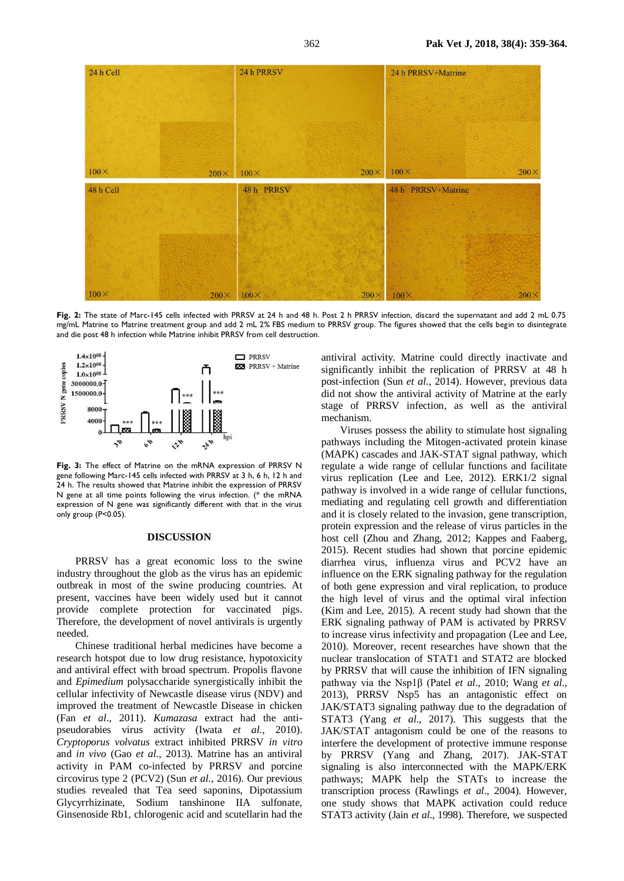

**Fig. 2:** The state of Marc-145 cells infected with PRRSV at 24 h and 48 h. Post 2 h PRRSV infection, discard the supernatant and add 2 mL 0.75 mg/mL Matrine to Matrine treatment group and add 2 mL 2% FBS medium to PRRSV group. The figures showed that the cells begin to disintegrate and die post 48 h infection while Matrine inhibit PRRSV from cell destruction.



**Fig. 3:** The effect of Matrine on the mRNA expression of PRRSV N gene following Marc-145 cells infected with PRRSV at 3 h, 6 h, 12 h and 24 h. The results showed that Matrine inhibit the expression of PRRSV N gene at all time points following the virus infection. (\* the mRNA expression of N gene was significantly different with that in the virus only group (P<0.05).

#### **DISCUSSION**

PRRSV has a great economic loss to the swine industry throughout the glob as the virus has an epidemic outbreak in most of the swine producing countries. At present, vaccines have been widely used but it cannot provide complete protection for vaccinated pigs. Therefore, the development of novel antivirals is urgently needed.

Chinese traditional herbal medicines have become a research hotspot due to low drug resistance, hypotoxicity and antiviral effect with broad spectrum. Propolis flavone and *Epimedium* polysaccharide synergistically inhibit the cellular infectivity of Newcastle disease virus (NDV) and improved the treatment of Newcastle Disease in chicken (Fan *et al*., 2011). *Kumazasa* extract had the antipseudorabies virus activity (Iwata *et al*., 2010). *Cryptoporus volvatus* extract inhibited PRRSV *in vitro* and *in vivo* (Gao *et al*., 2013). Matrine has an antiviral activity in PAM co-infected by PRRSV and porcine circovirus type 2 (PCV2) (Sun *et al*., 2016). Our previous studies revealed that Tea seed saponins, Dipotassium Glycyrrhizinate, Sodium tanshinone IIA sulfonate, Ginsenoside Rb1, chlorogenic acid and scutellarin had the

antiviral activity. Matrine could directly inactivate and significantly inhibit the replication of PRRSV at 48 h post-infection (Sun *et al*., 2014). However, previous data did not show the antiviral activity of Matrine at the early stage of PRRSV infection, as well as the antiviral mechanism.

Viruses possess the ability to stimulate host signaling pathways including the Mitogen-activated protein kinase (MAPK) cascades and JAK-STAT signal pathway, which regulate a wide range of cellular functions and facilitate virus replication (Lee and Lee, 2012). ERK1/2 signal pathway is involved in a wide range of cellular functions, mediating and regulating cell growth and differentiation and it is closely related to the invasion, gene transcription, protein expression and the release of virus particles in the host cell (Zhou and Zhang, 2012; Kappes and Faaberg, 2015). Recent studies had shown that porcine epidemic diarrhea virus, influenza virus and PCV2 have an influence on the ERK signaling pathway for the regulation of both gene expression and viral replication, to produce the high level of virus and the optimal viral infection (Kim and Lee, 2015). A recent study had shown that the ERK signaling pathway of PAM is activated by PRRSV to increase virus infectivity and propagation (Lee and Lee, 2010). Moreover, recent researches have shown that the nuclear translocation of STAT1 and STAT2 are blocked by PRRSV that will cause the inhibition of IFN signaling pathway via the Nsp1β (Patel *et al*., 2010; Wang *et al*., 2013), PRRSV Nsp5 has an antagonistic effect on JAK/STAT3 signaling pathway due to the degradation of STAT3 (Yang *et al*., 2017). This suggests that the JAK/STAT antagonism could be one of the reasons to interfere the development of protective immune response by PRRSV (Yang and Zhang, 2017). JAK-STAT signaling is also interconnected with the MAPK/ERK pathways; MAPK help the STATs to increase the transcription process (Rawlings *et al*., 2004). However, one study shows that MAPK activation could reduce STAT3 activity (Jain *et al*., 1998). Therefore, we suspected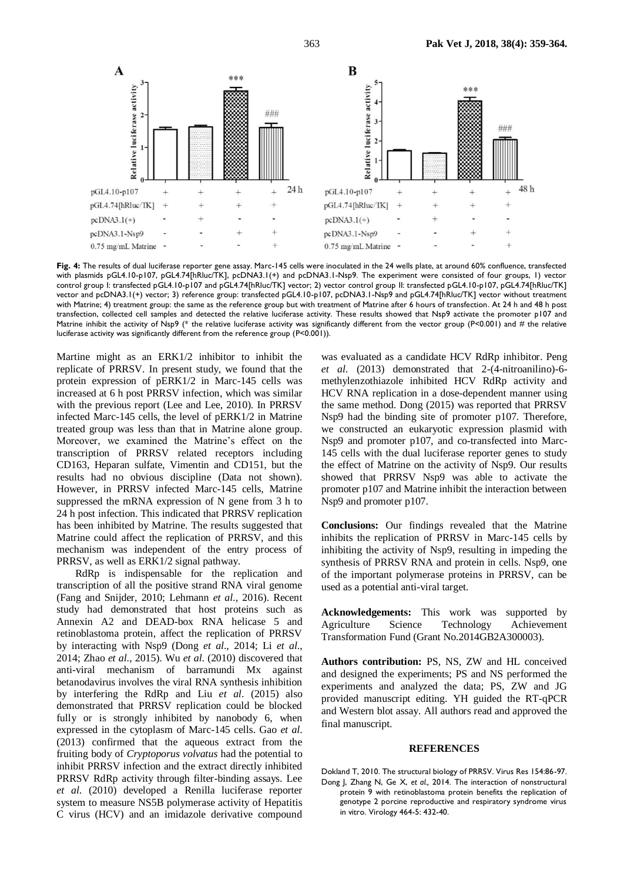

**Fig. 4:** The results of dual luciferase reporter gene assay. Marc-145 cells were inoculated in the 24 wells plate, at around 60% confluence, transfected with plasmids pGL4.10-p107, pGL4.74[hRluc/TK], pcDNA3.1(+) and pcDNA3.1-Nsp9. The experiment were consisted of four groups, 1) vector control group I: transfected pGL4.10-p107 and pGL4.74[hRluc/TK] vector; 2) vector control group II: transfected pGL4.10-p107, pGL4.74[hRluc/TK] vector and pcDNA3.1(+) vector; 3) reference group: transfected pGL4.10-p107, pcDNA3.1-Nsp9 and pGL4.74[hRluc/TK] vector without treatment with Matrine; 4) treatment group: the same as the reference group but with treatment of Matrine after 6 hours of transfection. At 24 h and 48 h post transfection, collected cell samples and detected the relative luciferase activity. These results showed that Nsp9 activate the promoter p107 and Matrine inhibit the activity of Nsp9 (\* the relative luciferase activity was significantly different from the vector group (P<0.001) and # the relative luciferase activity was significantly different from the reference group (P<0.001)).

Martine might as an ERK1/2 inhibitor to inhibit the replicate of PRRSV. In present study, we found that the protein expression of pERK1/2 in Marc-145 cells was increased at 6 h post PRRSV infection, which was similar with the previous report (Lee and Lee, 2010). In PRRSV infected Marc-145 cells, the level of pERK1/2 in Matrine treated group was less than that in Matrine alone group. Moreover, we examined the Matrine's effect on the transcription of PRRSV related receptors including CD163, Heparan sulfate, Vimentin and CD151, but the results had no obvious discipline (Data not shown). However, in PRRSV infected Marc-145 cells, Matrine suppressed the mRNA expression of N gene from 3 h to 24 h post infection. This indicated that PRRSV replication has been inhibited by Matrine. The results suggested that Matrine could affect the replication of PRRSV, and this mechanism was independent of the entry process of PRRSV, as well as ERK1/2 signal pathway.

RdRp is indispensable for the replication and transcription of all the positive strand RNA viral genome (Fang and Snijder, 2010; Lehmann *et al*., 2016). Recent study had demonstrated that host proteins such as Annexin A2 and DEAD-box RNA helicase 5 and retinoblastoma protein, affect the replication of PRRSV by interacting with Nsp9 (Dong *et al*., 2014; Li *et al*., 2014; Zhao *et al*., 2015). Wu *et al*. (2010) discovered that anti-viral mechanism of barramundi Mx against betanodavirus involves the viral RNA synthesis inhibition by interfering the RdRp and Liu *et al*. (2015) also demonstrated that PRRSV replication could be blocked fully or is strongly inhibited by nanobody 6, when expressed in the cytoplasm of Marc-145 cells. Gao *et al*. (2013) confirmed that the aqueous extract from the fruiting body of *Cryptoporus volvatus* had the potential to inhibit PRRSV infection and the extract directly inhibited PRRSV RdRp activity through filter-binding assays. Lee *et al*. (2010) developed a Renilla luciferase reporter system to measure NS5B polymerase activity of Hepatitis C virus (HCV) and an imidazole derivative compound

was evaluated as a candidate HCV RdRp inhibitor. Peng *et al*. (2013) demonstrated that 2-(4-nitroanilino)-6 methylenzothiazole inhibited HCV RdRp activity and HCV RNA replication in a dose-dependent manner using the same method. Dong (2015) was reported that PRRSV Nsp9 had the binding site of promoter p107. Therefore, we constructed an eukaryotic expression plasmid with Nsp9 and promoter p107, and co-transfected into Marc-145 cells with the dual luciferase reporter genes to study the effect of Matrine on the activity of Nsp9. Our results showed that PRRSV Nsp9 was able to activate the promoter p107 and Matrine inhibit the interaction between Nsp9 and promoter p107.

**Conclusions:** Our findings revealed that the Matrine inhibits the replication of PRRSV in Marc-145 cells by inhibiting the activity of Nsp9, resulting in impeding the synthesis of PRRSV RNA and protein in cells. Nsp9, one of the important polymerase proteins in PRRSV, can be used as a potential anti-viral target.

**Acknowledgements:** This work was supported by Agriculture Science Technology Achievement Transformation Fund (Grant No.2014GB2A300003).

**Authors contribution:** PS, NS, ZW and HL conceived and designed the experiments; PS and NS performed the experiments and analyzed the data; PS, ZW and JG provided manuscript editing. YH guided the RT-qPCR and Western blot assay. All authors read and approved the final manuscript.

### **REFERENCES**

Dokland T, 2010. The structural biology of PRRSV. Virus Res 154:86-97. Dong J, Zhang N, Ge X, *et al.,* 2014. The interaction of nonstructural protein 9 with retinoblastoma protein benefits the replication of genotype 2 porcine reproductive and respiratory syndrome virus in vitro. Virology 464-5: 432-40.